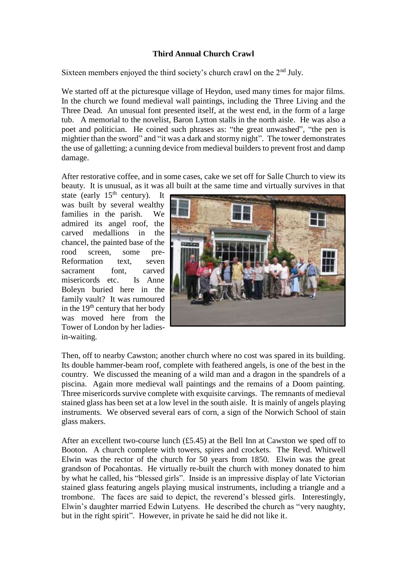## **Third Annual Church Crawl**

Sixteen members enjoyed the third society's church crawl on the 2<sup>nd</sup> July.

We started off at the picturesque village of Heydon, used many times for major films. In the church we found medieval wall paintings, including the Three Living and the Three Dead. An unusual font presented itself, at the west end, in the form of a large tub. A memorial to the novelist, Baron Lytton stalls in the north aisle. He was also a poet and politician. He coined such phrases as: "the great unwashed", "the pen is mightier than the sword" and "it was a dark and stormy night". The tower demonstrates the use of galletting; a cunning device from medieval builders to prevent frost and damp damage.

After restorative coffee, and in some cases, cake we set off for Salle Church to view its beauty. It is unusual, as it was all built at the same time and virtually survives in that

state (early  $15<sup>th</sup>$  century). It was built by several wealthy families in the parish. We admired its angel roof, the carved medallions in the chancel, the painted base of the rood screen, some pre-Reformation text, seven sacrament font, carved misericords etc. Is Anne Boleyn buried here in the family vault? It was rumoured in the  $19<sup>th</sup>$  century that her body was moved here from the Tower of London by her ladiesin-waiting.



Then, off to nearby Cawston; another church where no cost was spared in its building. Its double hammer-beam roof, complete with feathered angels, is one of the best in the country. We discussed the meaning of a wild man and a dragon in the spandrels of a piscina. Again more medieval wall paintings and the remains of a Doom painting. Three misericords survive complete with exquisite carvings. The remnants of medieval stained glass has been set at a low level in the south aisle. It is mainly of angels playing instruments. We observed several ears of corn, a sign of the Norwich School of stain glass makers.

After an excellent two-course lunch (£5.45) at the Bell Inn at Cawston we sped off to Booton. A church complete with towers, spires and crockets. The Revd. Whitwell Elwin was the rector of the church for 50 years from 1850. Elwin was the great grandson of Pocahontas. He virtually re-built the church with money donated to him by what he called, his "blessed girls". Inside is an impressive display of late Victorian stained glass featuring angels playing musical instruments, including a triangle and a trombone. The faces are said to depict, the reverend's blessed girls. Interestingly, Elwin's daughter married Edwin Lutyens. He described the church as "very naughty, but in the right spirit". However, in private he said he did not like it.